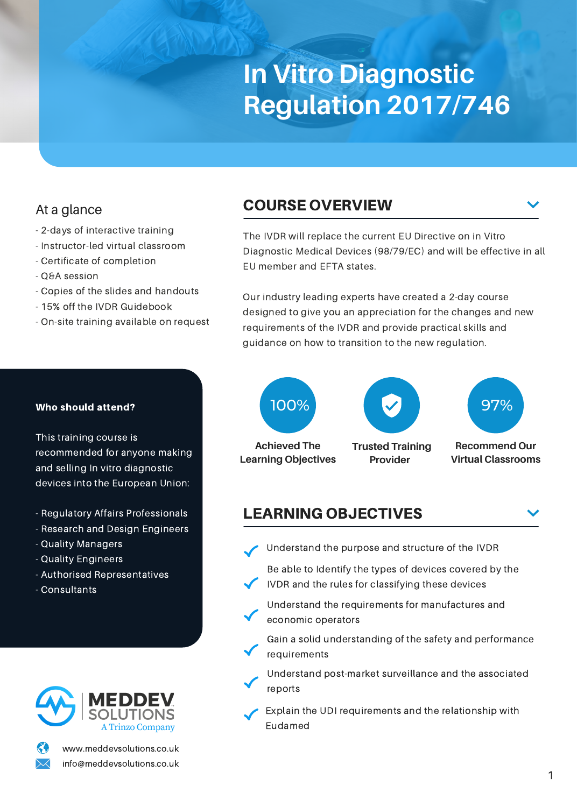# **In Vitro Diagnostic Regulation 2017/746**

## At a glance

- 2-days of interactive training
- Instructor-led virtual classroom
- Certificate of completion
- Q&A session
- Copies of the slides and handouts
- 15% off the IVDR Guidebook
- On-site training available on request

# COURSE OVERVIEW

The IVDR will replace the current EU Directive on in Vitro Diagnostic Medical Devices (98/79/EC) and will be effective in all EU member and EFTA states.

Our industry leading experts have created a 2-day course designed to give you an appreciation for the changes and new requirements of the IVDR and provide practical skills and guidance on how to transition to the new regulation.



**Provider** 



**Recommend Our Virtual Classrooms**

**Achieved The Learning Objectives**

LEARNING OBJECTIVES

- Understand the purpose and structure of the IVDR
- Be able to Identify the types of devices covered by the IVDR and the rules for classifying these devices
- Understand the requirements for manufactures and economic operators
- Gain a solid understanding of the safety and performance requirements
- Understand post-market surveillance and the associated reports
- Explain the UDI requirements and the relationship with Eudamed

#### Who should attend?

This training course is recommended for anyone making and selling In vitro diagnostic devices into the European Union:

- Regulatory Affairs Professionals
- Research and Design Engineers
- Quality Managers
- Quality Engineers
- Authorised Representatives
- Consultants



www.meddevsolutions.co.uk info@meddevsolutions.co.uk